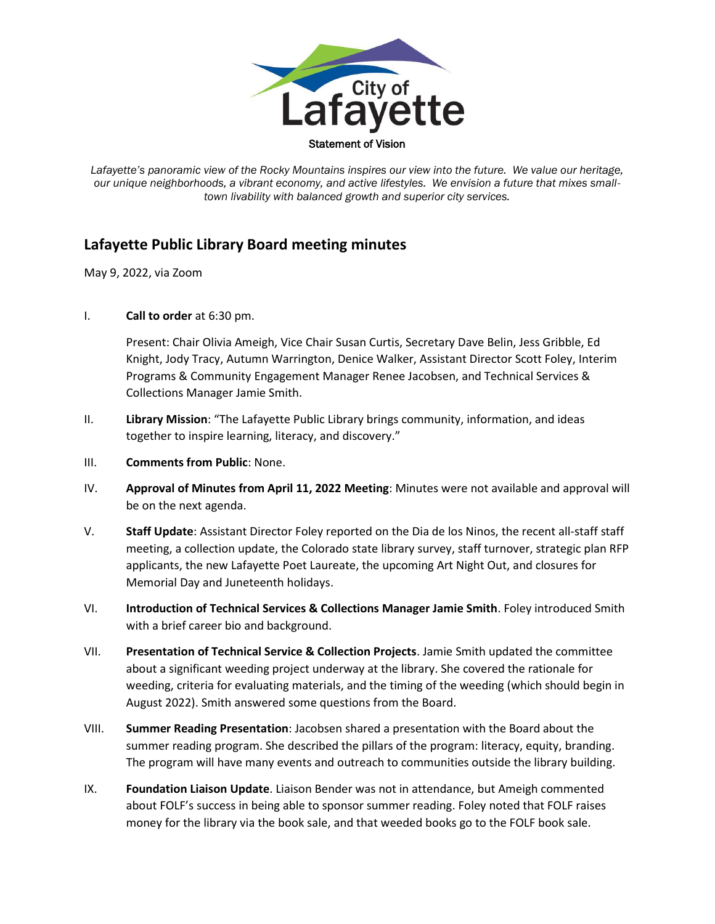

Lafayette's panoramic view of the Rocky Mountains inspires our view into the future. We value our heritage, *our unique neighborhoods, a vibrant economy, and active lifestyles. We envision a future that mixes smalltown livability with balanced growth and superior city services.*

## **Lafayette Public Library Board meeting minutes**

May 9, 2022, via Zoom

I. **Call to order** at 6:30 pm.

Present: Chair Olivia Ameigh, Vice Chair Susan Curtis, Secretary Dave Belin, Jess Gribble, Ed Knight, Jody Tracy, Autumn Warrington, Denice Walker, Assistant Director Scott Foley, Interim Programs & Community Engagement Manager Renee Jacobsen, and Technical Services & Collections Manager Jamie Smith.

- II. **Library Mission**: "The Lafayette Public Library brings community, information, and ideas together to inspire learning, literacy, and discovery."
- III. **Comments from Public**: None.
- IV. **Approval of Minutes from April 11, 2022 Meeting**: Minutes were not available and approval will be on the next agenda.
- V. **Staff Update**: Assistant Director Foley reported on the Dia de los Ninos, the recent all-staff staff meeting, a collection update, the Colorado state library survey, staff turnover, strategic plan RFP applicants, the new Lafayette Poet Laureate, the upcoming Art Night Out, and closures for Memorial Day and Juneteenth holidays.
- VI. **Introduction of Technical Services & Collections Manager Jamie Smith**. Foley introduced Smith with a brief career bio and background.
- VII. **Presentation of Technical Service & Collection Projects**. Jamie Smith updated the committee about a significant weeding project underway at the library. She covered the rationale for weeding, criteria for evaluating materials, and the timing of the weeding (which should begin in August 2022). Smith answered some questions from the Board.
- VIII. **Summer Reading Presentation**: Jacobsen shared a presentation with the Board about the summer reading program. She described the pillars of the program: literacy, equity, branding. The program will have many events and outreach to communities outside the library building.
- IX. **Foundation Liaison Update**. Liaison Bender was not in attendance, but Ameigh commented about FOLF's success in being able to sponsor summer reading. Foley noted that FOLF raises money for the library via the book sale, and that weeded books go to the FOLF book sale.